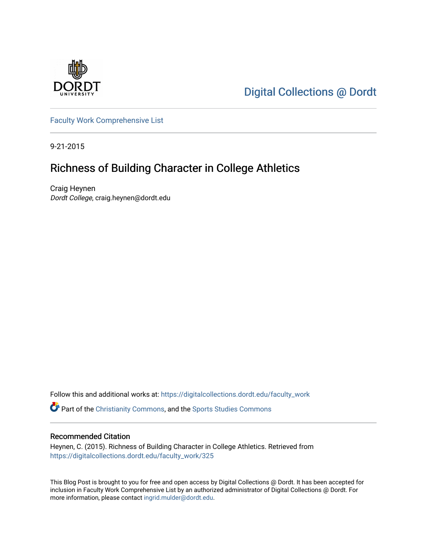

[Digital Collections @ Dordt](https://digitalcollections.dordt.edu/) 

[Faculty Work Comprehensive List](https://digitalcollections.dordt.edu/faculty_work)

9-21-2015

## Richness of Building Character in College Athletics

Craig Heynen Dordt College, craig.heynen@dordt.edu

Follow this and additional works at: [https://digitalcollections.dordt.edu/faculty\\_work](https://digitalcollections.dordt.edu/faculty_work?utm_source=digitalcollections.dordt.edu%2Ffaculty_work%2F325&utm_medium=PDF&utm_campaign=PDFCoverPages) 

Part of the [Christianity Commons,](http://network.bepress.com/hgg/discipline/1181?utm_source=digitalcollections.dordt.edu%2Ffaculty_work%2F325&utm_medium=PDF&utm_campaign=PDFCoverPages) and the [Sports Studies Commons](http://network.bepress.com/hgg/discipline/1198?utm_source=digitalcollections.dordt.edu%2Ffaculty_work%2F325&utm_medium=PDF&utm_campaign=PDFCoverPages) 

#### Recommended Citation

Heynen, C. (2015). Richness of Building Character in College Athletics. Retrieved from [https://digitalcollections.dordt.edu/faculty\\_work/325](https://digitalcollections.dordt.edu/faculty_work/325?utm_source=digitalcollections.dordt.edu%2Ffaculty_work%2F325&utm_medium=PDF&utm_campaign=PDFCoverPages) 

This Blog Post is brought to you for free and open access by Digital Collections @ Dordt. It has been accepted for inclusion in Faculty Work Comprehensive List by an authorized administrator of Digital Collections @ Dordt. For more information, please contact [ingrid.mulder@dordt.edu.](mailto:ingrid.mulder@dordt.edu)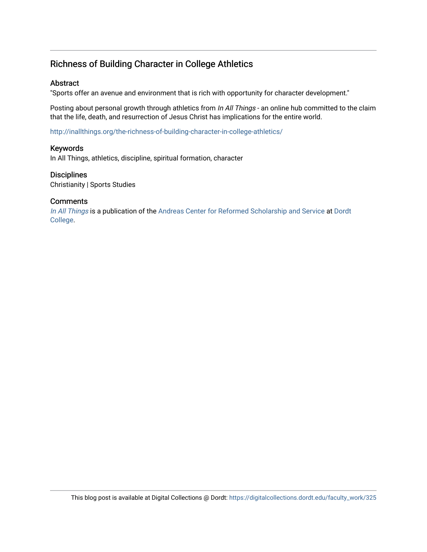### Richness of Building Character in College Athletics

#### **Abstract**

"Sports offer an avenue and environment that is rich with opportunity for character development."

Posting about personal growth through athletics from In All Things - an online hub committed to the claim that the life, death, and resurrection of Jesus Christ has implications for the entire world.

<http://inallthings.org/the-richness-of-building-character-in-college-athletics/>

#### Keywords

In All Things, athletics, discipline, spiritual formation, character

#### **Disciplines**

Christianity | Sports Studies

#### **Comments**

[In All Things](http://inallthings.org/) is a publication of the [Andreas Center for Reformed Scholarship and Service](http://www.dordt.edu/services_support/andreas_center/) at Dordt [College](http://www.dordt.edu/).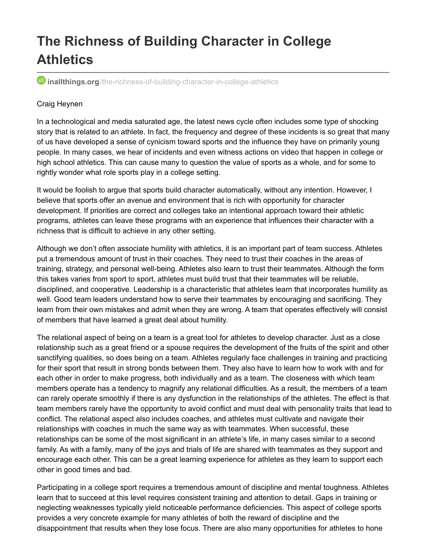# **The Richness of Building Character in College Athletics**

*inallthings.org*[/the-richness-of-building-character-in-college-athletics](http://inallthings.org/the-richness-of-building-character-in-college-athletics)

#### Craig Heynen

In a technological and media saturated age, the latest news cycle often includes some type of shocking story that is related to an athlete. In fact, the frequency and degree of these incidents is so great that many of us have developed a sense of cynicism toward sports and the influence they have on primarily young people. In many cases, we hear of incidents and even witness actions on video that happen in college or high school athletics. This can cause many to question the value of sports as a whole, and for some to rightly wonder what role sports play in a college setting.

It would be foolish to argue that sports build character automatically, without any intention. However, I believe that sports offer an avenue and environment that is rich with opportunity for character development. If priorities are correct and colleges take an intentional approach toward their athletic programs, athletes can leave these programs with an experience that influences their character with a richness that is difficult to achieve in any other setting.

Although we don't often associate humility with athletics, it is an important part of team success. Athletes put a tremendous amount of trust in their coaches. They need to trust their coaches in the areas of training, strategy, and personal well-being. Athletes also learn to trust their teammates. Although the form this takes varies from sport to sport, athletes must build trust that their teammates will be reliable, disciplined, and cooperative. Leadership is a characteristic that athletes learn that incorporates humility as well. Good team leaders understand how to serve their teammates by encouraging and sacrificing. They learn from their own mistakes and admit when they are wrong. A team that operates effectively will consist of members that have learned a great deal about humility.

The relational aspect of being on a team is a great tool for athletes to develop character. Just as a close relationship such as a great friend or a spouse requires the development of the fruits of the spirit and other sanctifying qualities, so does being on a team. Athletes regularly face challenges in training and practicing for their sport that result in strong bonds between them. They also have to learn how to work with and for each other in order to make progress, both individually and as a team. The closeness with which team members operate has a tendency to magnify any relational difficulties. As a result, the members of a team can rarely operate smoothly if there is any dysfunction in the relationships of the athletes. The effect is that team members rarely have the opportunity to avoid conflict and must deal with personality traits that lead to conflict. The relational aspect also includes coaches, and athletes must cultivate and navigate their relationships with coaches in much the same way as with teammates. When successful, these relationships can be some of the most significant in an athlete's life, in many cases similar to a second family. As with a family, many of the joys and trials of life are shared with teammates as they support and encourage each other. This can be a great learning experience for athletes as they learn to support each other in good times and bad.

Participating in a college sport requires a tremendous amount of discipline and mental toughness. Athletes learn that to succeed at this level requires consistent training and attention to detail. Gaps in training or neglecting weaknesses typically yield noticeable performance deficiencies. This aspect of college sports provides a very concrete example for many athletes of both the reward of discipline and the disappointment that results when they lose focus. There are also many opportunities for athletes to hone